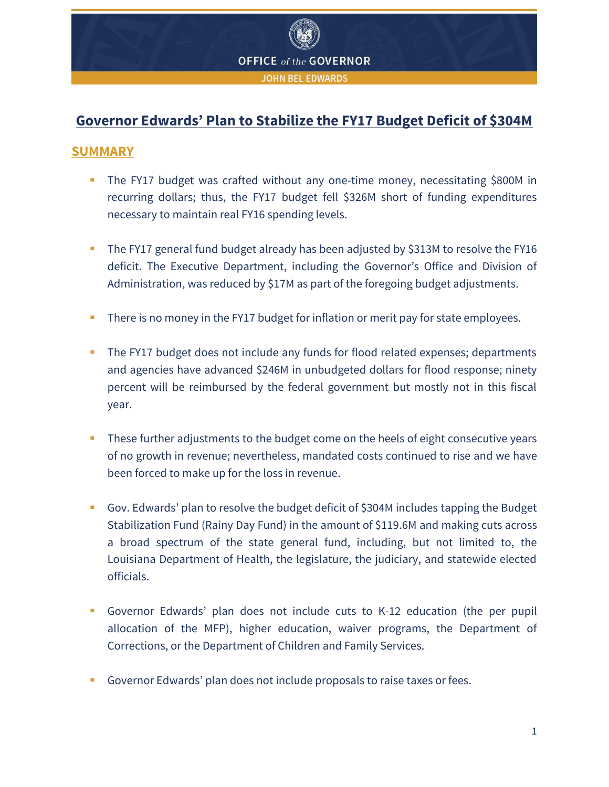

# **Governor Edwards' Plan to Stabilize the FY17 Budget Deficit of \$304M**

## **SUMMARY**

- The FY17 budget was crafted without any one-time money, necessitating \$800M in recurring dollars; thus, the FY17 budget fell \$326M short of funding expenditures necessary to maintain real FY16 spending levels.
- The FY17 general fund budget already has been adjusted by \$313M to resolve the FY16 deficit. The Executive Department, including the Governor's Office and Division of Administration, was reduced by \$17M as part of the foregoing budget adjustments.
- There is no money in the FY17 budget for inflation or merit pay for state employees.
- The FY17 budget does not include any funds for flood related expenses; departments and agencies have advanced \$246M in unbudgeted dollars for flood response; ninety percent will be reimbursed by the federal government but mostly not in this fiscal year.
- These further adjustments to the budget come on the heels of eight consecutive years of no growth in revenue; nevertheless, mandated costs continued to rise and we have been forced to make up for the loss in revenue.
- Gov. Edwards' plan to resolve the budget deficit of \$304M includes tapping the Budget Stabilization Fund (Rainy Day Fund) in the amount of \$119.6M and making cuts across a broad spectrum of the state general fund, including, but not limited to, the Louisiana Department of Health, the legislature, the judiciary, and statewide elected officials.
- Governor Edwards' plan does not include cuts to K-12 education (the per pupil allocation of the MFP), higher education, waiver programs, the Department of Corrections, or the Department of Children and Family Services.
- Governor Edwards' plan does not include proposals to raise taxes or fees.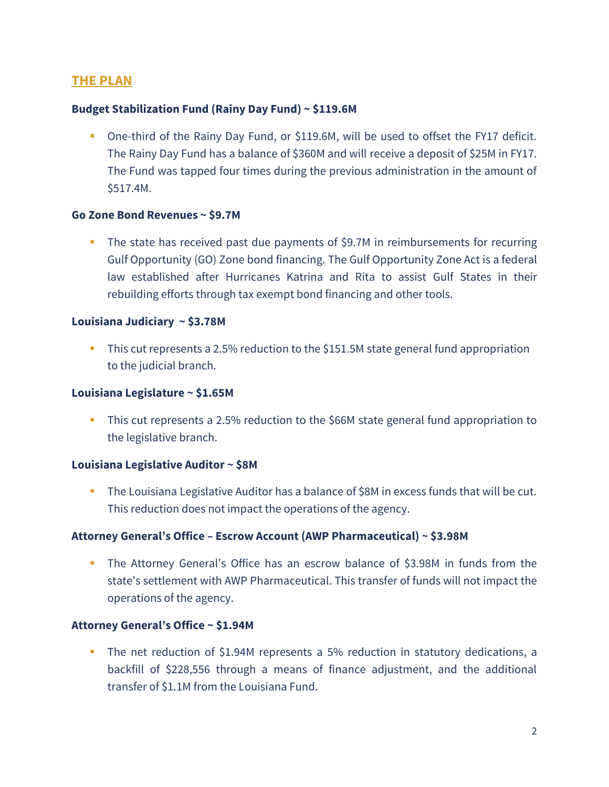# **THE PLAN**

### **Budget Stabilization Fund (Rainy Day Fund) ~ \$119.6M**

 One-third of the Rainy Day Fund, or \$119.6M, will be used to offset the FY17 deficit. The Rainy Day Fund has a balance of \$360M and will receive a deposit of \$25M in FY17. The Fund was tapped four times during the previous administration in the amount of \$517.4M.

#### **Go Zone Bond Revenues ~ \$9.7M**

The state has received past due payments of \$9.7M in reimbursements for recurring Gulf Opportunity (GO) Zone bond financing. The Gulf Opportunity Zone Act is a federal law established after Hurricanes Katrina and Rita to assist Gulf States in their rebuilding efforts through tax exempt bond financing and other tools.

#### **Louisiana Judiciary ~ \$3.78M**

This cut represents a 2.5% reduction to the \$151.5M state general fund appropriation to the judicial branch.

#### **Louisiana Legislature ~ \$1.65M**

This cut represents a 2.5% reduction to the \$66M state general fund appropriation to the legislative branch.

#### **Louisiana Legislative Auditor ~ \$8M**

 The Louisiana Legislative Auditor has a balance of \$8M in excess funds that will be cut. This reduction does not impact the operations of the agency.

### **Attorney General's Office – Escrow Account (AWP Pharmaceutical) ~ \$3.98M**

 The Attorney General's Office has an escrow balance of \$3.98M in funds from the state's settlement with AWP Pharmaceutical. This transfer of funds will not impact the operations of the agency.

#### **Attorney General's Office ~ \$1.94M**

 The net reduction of \$1.94M represents a 5% reduction in statutory dedications, a backfill of \$228,556 through a means of finance adjustment, and the additional transfer of \$1.1M from the Louisiana Fund.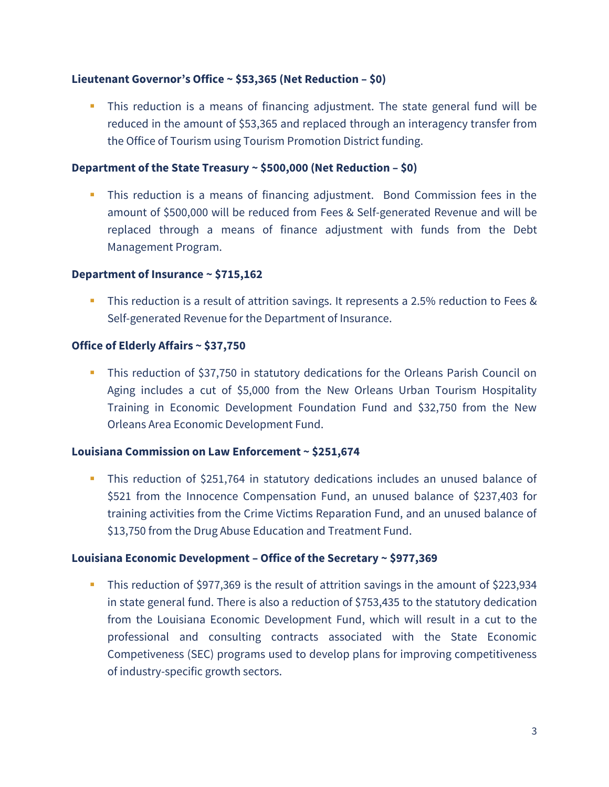### **Lieutenant Governor's Office ~ \$53,365 (Net Reduction – \$0)**

 This reduction is a means of financing adjustment. The state general fund will be reduced in the amount of \$53,365 and replaced through an interagency transfer from the Office of Tourism using Tourism Promotion District funding.

#### **Department of the State Treasury ~ \$500,000 (Net Reduction – \$0)**

 This reduction is a means of financing adjustment. Bond Commission fees in the amount of \$500,000 will be reduced from Fees & Self-generated Revenue and will be replaced through a means of finance adjustment with funds from the Debt Management Program.

#### **Department of Insurance ~ \$715,162**

 This reduction is a result of attrition savings. It represents a 2.5% reduction to Fees & Self-generated Revenue for the Department of Insurance.

#### **Office of Elderly Affairs ~ \$37,750**

 This reduction of \$37,750 in statutory dedications for the Orleans Parish Council on Aging includes a cut of \$5,000 from the New Orleans Urban Tourism Hospitality Training in Economic Development Foundation Fund and \$32,750 from the New Orleans Area Economic Development Fund.

#### **Louisiana Commission on Law Enforcement ~ \$251,674**

 This reduction of \$251,764 in statutory dedications includes an unused balance of \$521 from the Innocence Compensation Fund, an unused balance of \$237,403 for training activities from the Crime Victims Reparation Fund, and an unused balance of \$13,750 from the Drug Abuse Education and Treatment Fund.

### **Louisiana Economic Development – Office of the Secretary ~ \$977,369**

This reduction of \$977,369 is the result of attrition savings in the amount of \$223,934 in state general fund. There is also a reduction of \$753,435 to the statutory dedication from the Louisiana Economic Development Fund, which will result in a cut to the professional and consulting contracts associated with the State Economic Competiveness (SEC) programs used to develop plans for improving competitiveness of industry-specific growth sectors.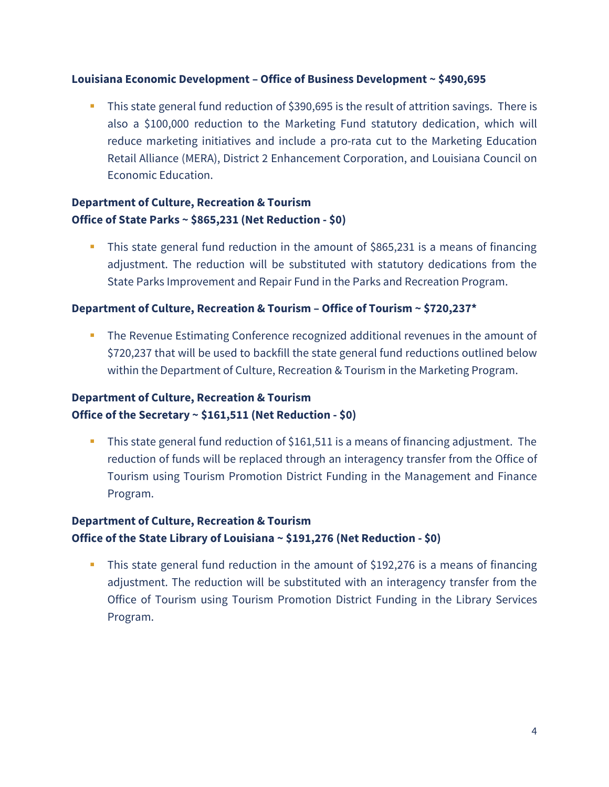### **Louisiana Economic Development – Office of Business Development ~ \$490,695**

 This state general fund reduction of \$390,695 is the result of attrition savings. There is also a \$100,000 reduction to the Marketing Fund statutory dedication, which will reduce marketing initiatives and include a pro-rata cut to the Marketing Education Retail Alliance (MERA), District 2 Enhancement Corporation, and Louisiana Council on Economic Education.

## **Department of Culture, Recreation & Tourism Office of State Parks ~ \$865,231 (Net Reduction - \$0)**

 This state general fund reduction in the amount of \$865,231 is a means of financing adjustment. The reduction will be substituted with statutory dedications from the State Parks Improvement and Repair Fund in the Parks and Recreation Program.

#### **Department of Culture, Recreation & Tourism – Office of Tourism ~ \$720,237\***

**The Revenue Estimating Conference recognized additional revenues in the amount of** \$720,237 that will be used to backfill the state general fund reductions outlined below within the Department of Culture, Recreation & Tourism in the Marketing Program.

## **Department of Culture, Recreation & Tourism Office of the Secretary ~ \$161,511 (Net Reduction - \$0)**

This state general fund reduction of \$161,511 is a means of financing adjustment. The reduction of funds will be replaced through an interagency transfer from the Office of Tourism using Tourism Promotion District Funding in the Management and Finance Program.

# **Department of Culture, Recreation & Tourism Office of the State Library of Louisiana ~ \$191,276 (Net Reduction - \$0)**

 This state general fund reduction in the amount of \$192,276 is a means of financing adjustment. The reduction will be substituted with an interagency transfer from the Office of Tourism using Tourism Promotion District Funding in the Library Services Program.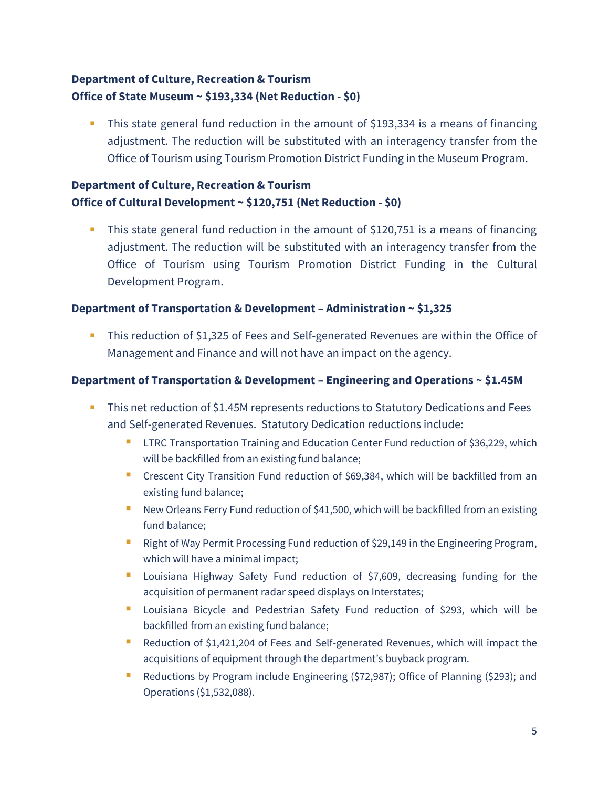# **Department of Culture, Recreation & Tourism Office of State Museum ~ \$193,334 (Net Reduction - \$0)**

 This state general fund reduction in the amount of \$193,334 is a means of financing adjustment. The reduction will be substituted with an interagency transfer from the Office of Tourism using Tourism Promotion District Funding in the Museum Program.

## **Department of Culture, Recreation & Tourism Office of Cultural Development ~ \$120,751 (Net Reduction - \$0)**

 This state general fund reduction in the amount of \$120,751 is a means of financing adjustment. The reduction will be substituted with an interagency transfer from the Office of Tourism using Tourism Promotion District Funding in the Cultural Development Program.

### **Department of Transportation & Development – Administration ~ \$1,325**

 This reduction of \$1,325 of Fees and Self-generated Revenues are within the Office of Management and Finance and will not have an impact on the agency.

### **Department of Transportation & Development – Engineering and Operations ~ \$1.45M**

- **This net reduction of \$1.45M represents reductions to Statutory Dedications and Fees** and Self-generated Revenues. Statutory Dedication reductions include:
	- **LTRC Transportation Training and Education Center Fund reduction of \$36,229, which** will be backfilled from an existing fund balance;
	- **Crescent City Transition Fund reduction of \$69,384, which will be backfilled from an** existing fund balance;
	- New Orleans Ferry Fund reduction of \$41,500, which will be backfilled from an existing fund balance;
	- Right of Way Permit Processing Fund reduction of \$29,149 in the Engineering Program, which will have a minimal impact;
	- **Louisiana Highway Safety Fund reduction of \$7,609, decreasing funding for the** acquisition of permanent radar speed displays on Interstates;
	- **Louisiana Bicycle and Pedestrian Safety Fund reduction of \$293, which will be** backfilled from an existing fund balance;
	- **Reduction of \$1,421,204 of Fees and Self-generated Revenues, which will impact the** acquisitions of equipment through the department's buyback program.
	- **Reductions by Program include Engineering (\$72,987); Office of Planning (\$293); and** Operations (\$1,532,088).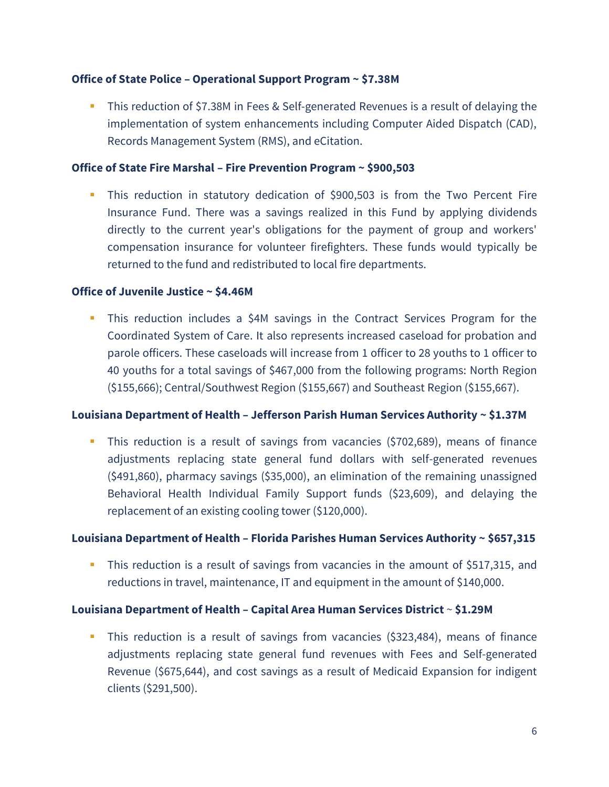### **Office of State Police – Operational Support Program ~ \$7.38M**

 This reduction of \$7.38M in Fees & Self-generated Revenues is a result of delaying the implementation of system enhancements including Computer Aided Dispatch (CAD), Records Management System (RMS), and eCitation.

#### **Office of State Fire Marshal – Fire Prevention Program ~ \$900,503**

 This reduction in statutory dedication of \$900,503 is from the Two Percent Fire Insurance Fund. There was a savings realized in this Fund by applying dividends directly to the current year's obligations for the payment of group and workers' compensation insurance for volunteer firefighters. These funds would typically be returned to the fund and redistributed to local fire departments.

### **Office of Juvenile Justice ~ \$4.46M**

 This reduction includes a \$4M savings in the Contract Services Program for the Coordinated System of Care. It also represents increased caseload for probation and parole officers. These caseloads will increase from 1 officer to 28 youths to 1 officer to 40 youths for a total savings of \$467,000 from the following programs: North Region (\$155,666); Central/Southwest Region (\$155,667) and Southeast Region (\$155,667).

### **Louisiana Department of Health – Jefferson Parish Human Services Authority ~ \$1.37M**

 This reduction is a result of savings from vacancies (\$702,689), means of finance adjustments replacing state general fund dollars with self-generated revenues (\$491,860), pharmacy savings (\$35,000), an elimination of the remaining unassigned Behavioral Health Individual Family Support funds (\$23,609), and delaying the replacement of an existing cooling tower (\$120,000).

### **Louisiana Department of Health – Florida Parishes Human Services Authority ~ \$657,315**

This reduction is a result of savings from vacancies in the amount of \$517,315, and reductions in travel, maintenance, IT and equipment in the amount of \$140,000.

### **Louisiana Department of Health – Capital Area Human Services District** ~ **\$1.29M**

 This reduction is a result of savings from vacancies (\$323,484), means of finance adjustments replacing state general fund revenues with Fees and Self-generated Revenue (\$675,644), and cost savings as a result of Medicaid Expansion for indigent clients (\$291,500).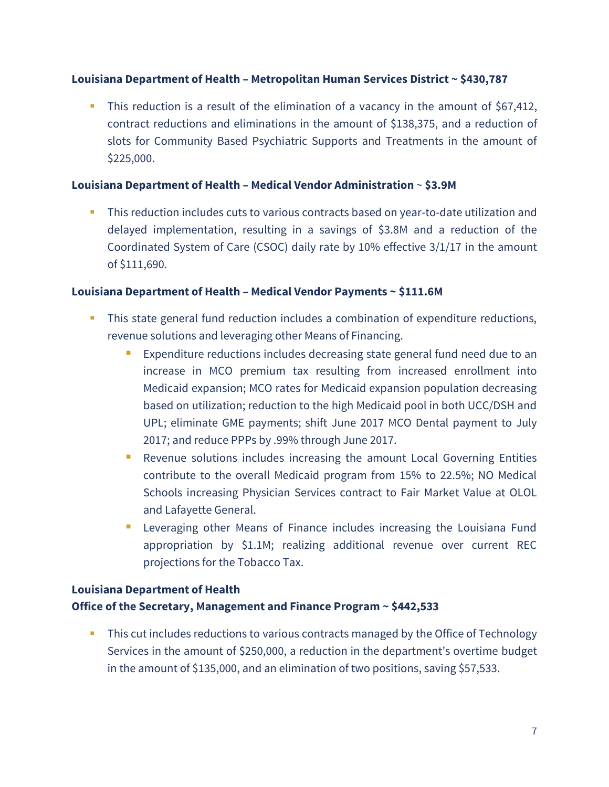### **Louisiana Department of Health – Metropolitan Human Services District ~ \$430,787**

 This reduction is a result of the elimination of a vacancy in the amount of \$67,412, contract reductions and eliminations in the amount of \$138,375, and a reduction of slots for Community Based Psychiatric Supports and Treatments in the amount of \$225,000.

### **Louisiana Department of Health – Medical Vendor Administration** ~ **\$3.9M**

This reduction includes cuts to various contracts based on year-to-date utilization and delayed implementation, resulting in a savings of \$3.8M and a reduction of the Coordinated System of Care (CSOC) daily rate by 10% effective 3/1/17 in the amount of \$111,690.

#### **Louisiana Department of Health – Medical Vendor Payments ~ \$111.6M**

- This state general fund reduction includes a combination of expenditure reductions, revenue solutions and leveraging other Means of Financing.
	- **Expenditure reductions includes decreasing state general fund need due to an** increase in MCO premium tax resulting from increased enrollment into Medicaid expansion; MCO rates for Medicaid expansion population decreasing based on utilization; reduction to the high Medicaid pool in both UCC/DSH and UPL; eliminate GME payments; shift June 2017 MCO Dental payment to July 2017; and reduce PPPs by .99% through June 2017.
	- **Revenue solutions includes increasing the amount Local Governing Entities** contribute to the overall Medicaid program from 15% to 22.5%; NO Medical Schools increasing Physician Services contract to Fair Market Value at OLOL and Lafayette General.
	- **EXTE:** Leveraging other Means of Finance includes increasing the Louisiana Fund appropriation by \$1.1M; realizing additional revenue over current REC projections for the Tobacco Tax.

## **Louisiana Department of Health Office of the Secretary, Management and Finance Program ~ \$442,533**

**This cut includes reductions to various contracts managed by the Office of Technology** Services in the amount of \$250,000, a reduction in the department's overtime budget in the amount of \$135,000, and an elimination of two positions, saving \$57,533.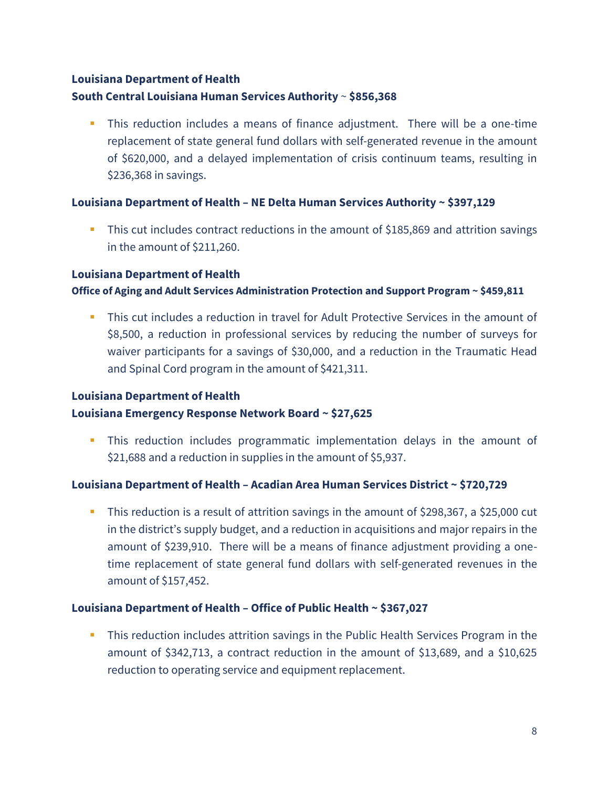# **Louisiana Department of Health**

### **South Central Louisiana Human Services Authority** ~ **\$856,368**

 This reduction includes a means of finance adjustment. There will be a one-time replacement of state general fund dollars with self-generated revenue in the amount of \$620,000, and a delayed implementation of crisis continuum teams, resulting in \$236,368 in savings.

### **Louisiana Department of Health – NE Delta Human Services Authority ~ \$397,129**

 This cut includes contract reductions in the amount of \$185,869 and attrition savings in the amount of \$211,260.

### **Louisiana Department of Health**

### **Office of Aging and Adult Services Administration Protection and Support Program ~ \$459,811**

 This cut includes a reduction in travel for Adult Protective Services in the amount of \$8,500, a reduction in professional services by reducing the number of surveys for waiver participants for a savings of \$30,000, and a reduction in the Traumatic Head and Spinal Cord program in the amount of \$421,311.

# **Louisiana Department of Health Louisiana Emergency Response Network Board ~ \$27,625**

 This reduction includes programmatic implementation delays in the amount of \$21,688 and a reduction in supplies in the amount of \$5,937.

### **Louisiana Department of Health – Acadian Area Human Services District ~ \$720,729**

 This reduction is a result of attrition savings in the amount of \$298,367, a \$25,000 cut in the district's supply budget, and a reduction in acquisitions and major repairs in the amount of \$239,910. There will be a means of finance adjustment providing a onetime replacement of state general fund dollars with self-generated revenues in the amount of \$157,452.

### **Louisiana Department of Health – Office of Public Health ~ \$367,027**

 This reduction includes attrition savings in the Public Health Services Program in the amount of \$342,713, a contract reduction in the amount of \$13,689, and a \$10,625 reduction to operating service and equipment replacement.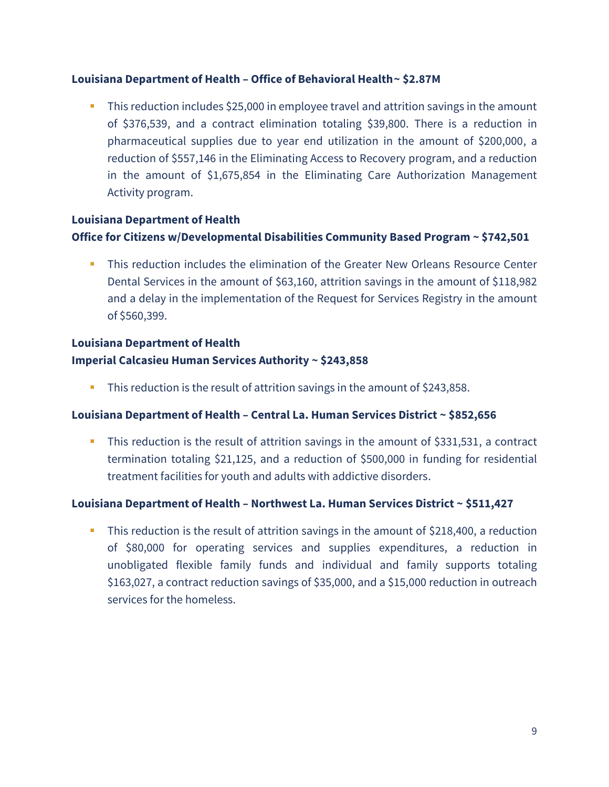### **Louisiana Department of Health – Office of Behavioral Health~ \$2.87M**

 This reduction includes \$25,000 in employee travel and attrition savings in the amount of \$376,539, and a contract elimination totaling \$39,800. There is a reduction in pharmaceutical supplies due to year end utilization in the amount of \$200,000, a reduction of \$557,146 in the Eliminating Access to Recovery program, and a reduction in the amount of \$1,675,854 in the Eliminating Care Authorization Management Activity program.

# **Louisiana Department of Health Office for Citizens w/Developmental Disabilities Community Based Program ~ \$742,501**

 This reduction includes the elimination of the Greater New Orleans Resource Center Dental Services in the amount of \$63,160, attrition savings in the amount of \$118,982 and a delay in the implementation of the Request for Services Registry in the amount of \$560,399.

# **Louisiana Department of Health Imperial Calcasieu Human Services Authority ~ \$243,858**

This reduction is the result of attrition savings in the amount of \$243,858.

### **Louisiana Department of Health – Central La. Human Services District ~ \$852,656**

This reduction is the result of attrition savings in the amount of \$331,531, a contract termination totaling \$21,125, and a reduction of \$500,000 in funding for residential treatment facilities for youth and adults with addictive disorders.

## **Louisiana Department of Health – Northwest La. Human Services District ~ \$511,427**

This reduction is the result of attrition savings in the amount of \$218,400, a reduction of \$80,000 for operating services and supplies expenditures, a reduction in unobligated flexible family funds and individual and family supports totaling \$163,027, a contract reduction savings of \$35,000, and a \$15,000 reduction in outreach services for the homeless.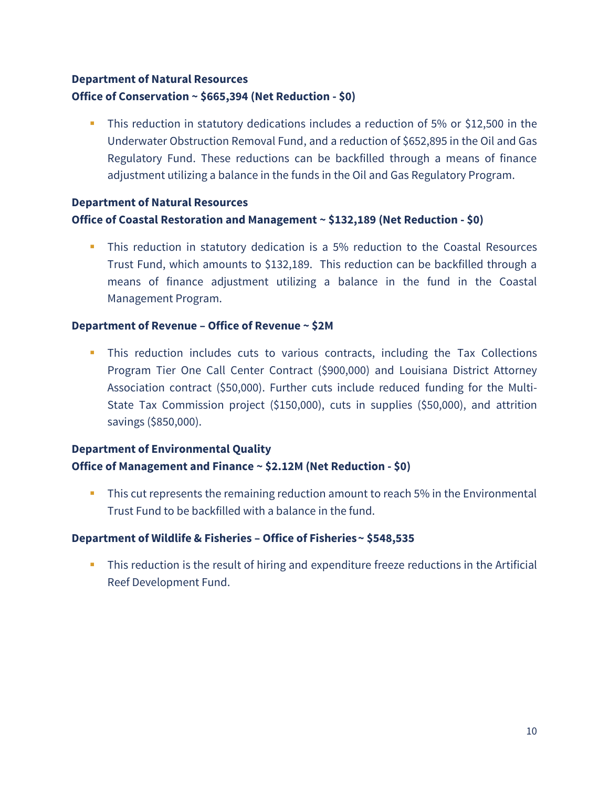# **Department of Natural Resources Office of Conservation ~ \$665,394 (Net Reduction - \$0)**

 This reduction in statutory dedications includes a reduction of 5% or \$12,500 in the Underwater Obstruction Removal Fund, and a reduction of \$652,895 in the Oil and Gas Regulatory Fund. These reductions can be backfilled through a means of finance adjustment utilizing a balance in the funds in the Oil and Gas Regulatory Program.

# **Department of Natural Resources Office of Coastal Restoration and Management ~ \$132,189 (Net Reduction - \$0)**

 This reduction in statutory dedication is a 5% reduction to the Coastal Resources Trust Fund, which amounts to \$132,189. This reduction can be backfilled through a means of finance adjustment utilizing a balance in the fund in the Coastal Management Program.

### **Department of Revenue – Office of Revenue ~ \$2M**

 This reduction includes cuts to various contracts, including the Tax Collections Program Tier One Call Center Contract (\$900,000) and Louisiana District Attorney Association contract (\$50,000). Further cuts include reduced funding for the Multi-State Tax Commission project (\$150,000), cuts in supplies (\$50,000), and attrition savings (\$850,000).

# **Department of Environmental Quality Office of Management and Finance ~ \$2.12M (Net Reduction - \$0)**

**This cut represents the remaining reduction amount to reach 5% in the Environmental** Trust Fund to be backfilled with a balance in the fund.

### **Department of Wildlife & Fisheries – Office of Fisheries~ \$548,535**

 This reduction is the result of hiring and expenditure freeze reductions in the Artificial Reef Development Fund.